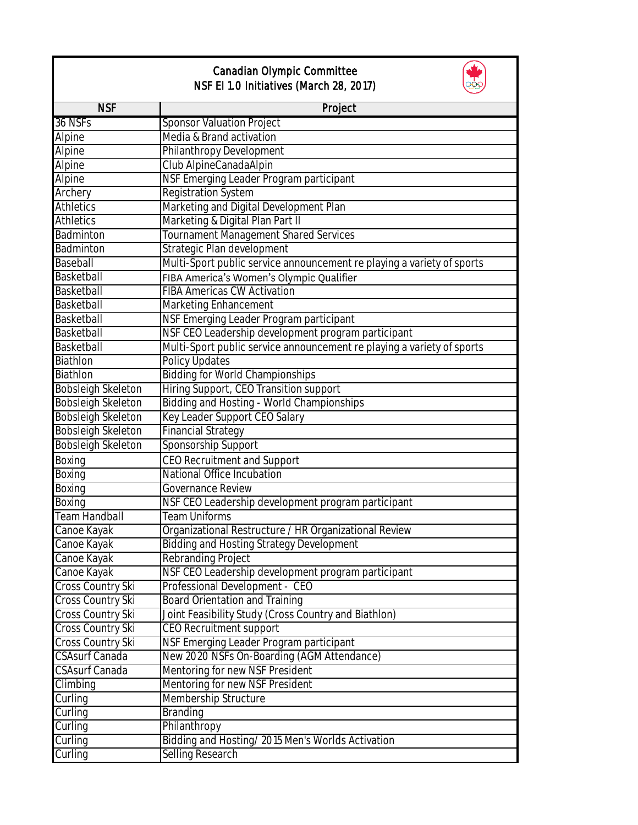| Canadian Olympic Committee<br>NSF EI 1.0 Initiatives (March 28, 2017) |                                                                        |  |
|-----------------------------------------------------------------------|------------------------------------------------------------------------|--|
| <b>NSF</b>                                                            | Project                                                                |  |
| 36 NSFs                                                               | <b>Sponsor Valuation Project</b>                                       |  |
| Alpine                                                                | Media & Brand activation                                               |  |
| Alpine                                                                | Philanthropy Development                                               |  |
| Alpine                                                                | Club AlpineCanadaAlpin                                                 |  |
| Alpine                                                                | NSF Emerging Leader Program participant                                |  |
| Archery                                                               | <b>Registration System</b>                                             |  |
| <b>Athletics</b>                                                      | Marketing and Digital Development Plan                                 |  |
| <b>Athletics</b>                                                      | Marketing & Digital Plan Part II                                       |  |
| <b>Badminton</b>                                                      | Tournament Management Shared Services                                  |  |
| Badminton                                                             | Strategic Plan development                                             |  |
| Baseball                                                              | Multi-Sport public service announcement re playing a variety of sports |  |
| Basketball                                                            | FIBA America's Women's Olympic Qualifier                               |  |
| Basketball                                                            | <b>FIBA Americas CW Activation</b>                                     |  |
| Basketball                                                            | Marketing Enhancement                                                  |  |
| Basketball                                                            | NSF Emerging Leader Program participant                                |  |
| Basketball                                                            | NSF CEO Leadership development program participant                     |  |
| Basketball                                                            | Multi-Sport public service announcement re playing a variety of sports |  |
| Biathlon                                                              | <b>Policy Updates</b>                                                  |  |
| Biathlon                                                              | <b>Bidding for World Championships</b>                                 |  |
| <b>Bobsleigh Skeleton</b>                                             | Hiring Support, CEO Transition support                                 |  |
| <b>Bobsleigh Skeleton</b>                                             | <b>Bidding and Hosting - World Championships</b>                       |  |
| <b>Bobsleigh Skeleton</b>                                             | Key Leader Support CEO Salary                                          |  |
| <b>Bobsleigh Skeleton</b>                                             | <b>Financial Strategy</b>                                              |  |
| <b>Bobsleigh Skeleton</b>                                             | Sponsorship Support                                                    |  |
| Boxing                                                                | CEO Recruitment and Support                                            |  |
| Boxing                                                                | National Office Incubation                                             |  |
| Boxing                                                                | <b>Governance Review</b>                                               |  |
| Boxing                                                                | NSF CEO Leadership development program participant                     |  |
| Team Handball                                                         | <b>Team Uniforms</b>                                                   |  |
| Canoe Kayak                                                           | Organizational Restructure / HR Organizational Review                  |  |
| Canoe Kayak                                                           | <b>Bidding and Hosting Strategy Development</b>                        |  |
| Canoe Kayak                                                           | Rebranding Project                                                     |  |
| Canoe Kayak                                                           | NSF CEO Leadership development program participant                     |  |
| Cross Country Ski                                                     | Professional Development - CEO                                         |  |
| <b>Cross Country Ski</b>                                              | <b>Board Orientation and Training</b>                                  |  |
| Cross Country Ski                                                     | Joint Feasibility Study (Cross Country and Biathlon)                   |  |
| Cross Country Ski                                                     | <b>CEO Recruitment support</b>                                         |  |
| Cross Country Ski                                                     | NSF Emerging Leader Program participant                                |  |
| <b>CSAsurf Canada</b>                                                 | New 2020 NSFs On-Boarding (AGM Attendance)                             |  |
| <b>CSAsurf Canada</b>                                                 | Mentoring for new NSF President                                        |  |
| Climbing                                                              | Mentoring for new NSF President                                        |  |
| Curling                                                               | Membership Structure                                                   |  |
| Curling                                                               | <b>Branding</b>                                                        |  |
| Curling                                                               | Philanthropy                                                           |  |
| Curling                                                               | Bidding and Hosting/2015 Men's Worlds Activation                       |  |
| Curling                                                               | Selling Research                                                       |  |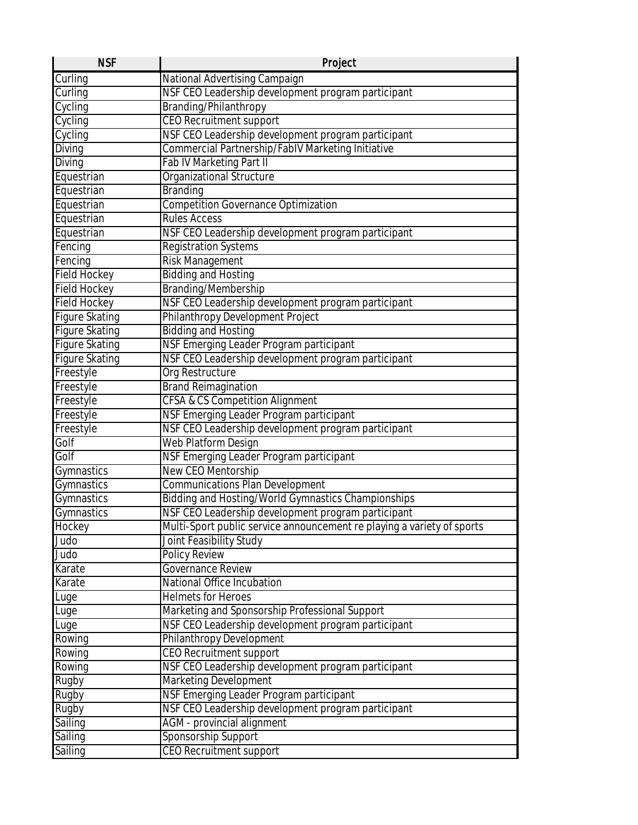| <b>NSF</b>            | Project                                                                |
|-----------------------|------------------------------------------------------------------------|
| Curling               | National Advertising Campaign                                          |
| Curling               | NSF CEO Leadership development program participant                     |
| Cycling               | Branding/Philanthropy                                                  |
| Cycling               | <b>CEO</b> Recruitment support                                         |
| Cycling               | NSF CEO Leadership development program participant                     |
| Diving                | Commercial Partnership/FablV Marketing Initiative                      |
| Diving                | Fab IV Marketing Part II                                               |
| Equestrian            | Organizational Structure                                               |
| Equestrian            | <b>Branding</b>                                                        |
| Equestrian            | <b>Competition Governance Optimization</b>                             |
| Equestrian            | <b>Rules Access</b>                                                    |
| Equestrian            | NSF CEO Leadership development program participant                     |
| Fencing               | <b>Registration Systems</b>                                            |
| Fencing               | <b>Risk Management</b>                                                 |
| <b>Field Hockey</b>   | <b>Bidding and Hosting</b>                                             |
| <b>Field Hockey</b>   | Branding/Membership                                                    |
| <b>Field Hockey</b>   | NSF CEO Leadership development program participant                     |
| <b>Figure Skating</b> | Philanthropy Development Project                                       |
| <b>Figure Skating</b> | <b>Bidding and Hosting</b>                                             |
| <b>Figure Skating</b> | NSF Emerging Leader Program participant                                |
| <b>Figure Skating</b> | NSF CEO Leadership development program participant                     |
| Freestyle             | Org Restructure                                                        |
| Freestyle             | <b>Brand Reimagination</b>                                             |
| Freestyle             | CFSA & CS Competition Alignment                                        |
| Freestyle             | NSF Emerging Leader Program participant                                |
| Freestyle             | NSF CEO Leadership development program participant                     |
| Golf                  | Web Platform Design                                                    |
| Golf                  | NSF Emerging Leader Program participant                                |
| Gymnastics            | New CEO Mentorship                                                     |
| Gymnastics            | <b>Communications Plan Development</b>                                 |
| Gymnastics            | Bidding and Hosting/World Gymnastics Championships                     |
| Gymnastics            | NSF CEO Leadership development program participant                     |
| Hockey                | Multi-Sport public service announcement re playing a variety of sports |
| Judo                  | Joint Feasibility Study                                                |
| Judo                  | <b>Policy Review</b>                                                   |
| Karate                | Governance Review                                                      |
| Karate                | National Office Incubation                                             |
| Luge                  | <b>Helmets for Heroes</b>                                              |
| Luge                  | Marketing and Sponsorship Professional Support                         |
| Luge                  | NSF CEO Leadership development program participant                     |
| Rowing                | Philanthropy Development                                               |
| Rowing                | CEO Recruitment support                                                |
| Rowing                | NSF CEO Leadership development program participant                     |
| Rugby                 | Marketing Development                                                  |
| Rugby                 | NSF Emerging Leader Program participant                                |
| Rugby                 | NSF CEO Leadership development program participant                     |
| Sailing               | AGM - provincial alignment                                             |
| Sailing               | Sponsorship Support                                                    |
| Sailing               | CEO Recruitment support                                                |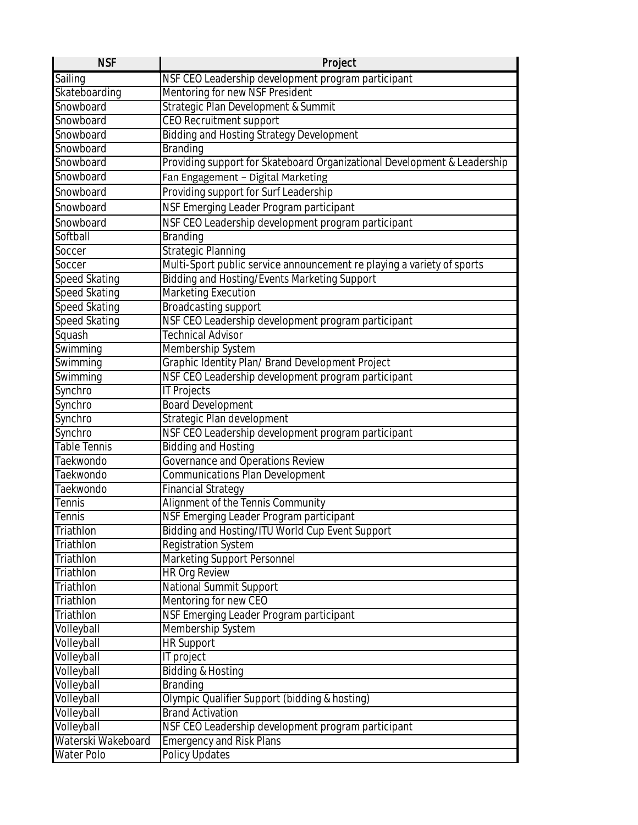| <b>NSF</b>               | Project                                                                  |
|--------------------------|--------------------------------------------------------------------------|
| Sailing                  | NSF CEO Leadership development program participant                       |
| Skateboarding            | Mentoring for new NSF President                                          |
| Snowboard                | Strategic Plan Development & Summit                                      |
| Snowboard                | <b>CEO</b> Recruitment support                                           |
| Snowboard                | <b>Bidding and Hosting Strategy Development</b>                          |
| Snowboard                | <b>Branding</b>                                                          |
| Snowboard                | Providing support for Skateboard Organizational Development & Leadership |
| Snowboard                | Fan Engagement - Digital Marketing                                       |
| Snowboard                | Providing support for Surf Leadership                                    |
| Snowboard                | NSF Emerging Leader Program participant                                  |
| Snowboard                | NSF CEO Leadership development program participant                       |
| Softball                 | <b>Branding</b>                                                          |
| Soccer                   | Strategic Planning                                                       |
| Soccer                   | Multi-Sport public service announcement re playing a variety of sports   |
| <b>Speed Skating</b>     | Bidding and Hosting/Events Marketing Support                             |
| Speed Skating            | <b>Marketing Execution</b>                                               |
| Speed Skating            | Broadcasting support                                                     |
| <b>Speed Skating</b>     | NSF CEO Leadership development program participant                       |
| Squash                   | <b>Technical Advisor</b>                                                 |
| Swimming                 | Membership System                                                        |
| Swimming                 | Graphic Identity Plan/ Brand Development Project                         |
| Swimming                 | NSF CEO Leadership development program participant                       |
| Synchro                  | <b>IT Projects</b>                                                       |
| Synchro                  | <b>Board Development</b>                                                 |
| Synchro                  | Strategic Plan development                                               |
| Synchro                  | NSF CEO Leadership development program participant                       |
| <b>Table Tennis</b>      | <b>Bidding and Hosting</b>                                               |
| Taekwondo                | Governance and Operations Review                                         |
| Taekwondo                | Communications Plan Development                                          |
| Taekwondo                | <b>Financial Strategy</b>                                                |
| <b>Tennis</b>            | Alignment of the Tennis Community                                        |
| Tennis                   | NSF Emerging Leader Program participant                                  |
| Triathlon                | Bidding and Hosting/ITU World Cup Event Support                          |
| Triathlon                | <b>Registration System</b>                                               |
| Triathlon                | Marketing Support Personnel                                              |
| Triathlon                | <b>HR Org Review</b>                                                     |
| Triathlon                | National Summit Support                                                  |
| Triathlon                | Mentoring for new CEO                                                    |
| Triathlon                | NSF Emerging Leader Program participant                                  |
| Volleyball               | Membership System                                                        |
| Volleyball               | <b>HR Support</b>                                                        |
| Volleyball               | IT project                                                               |
| Volleyball               | <b>Bidding &amp; Hosting</b>                                             |
| Volleyball<br>Volleyball | <b>Branding</b><br>Olympic Qualifier Support (bidding & hosting)         |
| Volleyball               | <b>Brand Activation</b>                                                  |
| Volleyball               | NSF CEO Leadership development program participant                       |
| Waterski Wakeboard       | <b>Emergency and Risk Plans</b>                                          |
| Water Polo               | Policy Updates                                                           |
|                          |                                                                          |